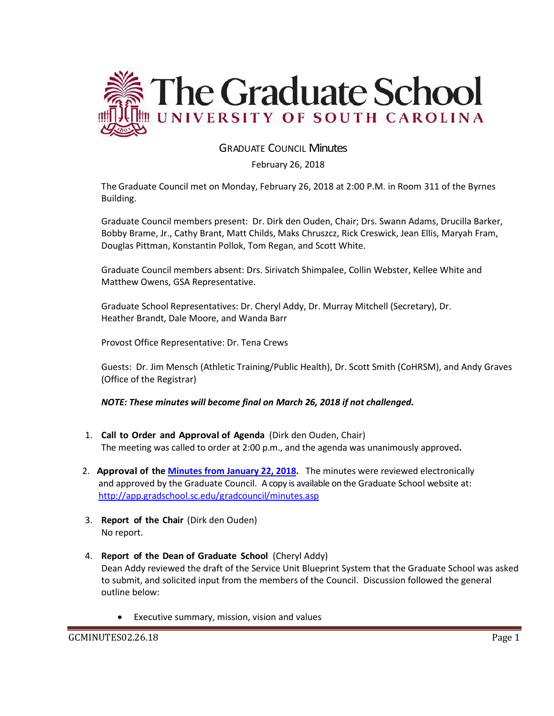

### GRADUATE COUNCIL Minutes

February 26, 2018

The Graduate Council met on Monday, February 26, 2018 at 2:00 P.M. in Room 311 of the Byrnes Building.

Graduate Council members present: Dr. Dirk den Ouden, Chair; Drs. Swann Adams, Drucilla Barker, Bobby Brame, Jr., Cathy Brant, Matt Childs, Maks Chruszcz, Rick Creswick, Jean Ellis, Maryah Fram, Douglas Pittman, Konstantin Pollok, Tom Regan, and Scott White.

Graduate Council members absent: Drs. Sirivatch Shimpalee, Collin Webster, Kellee White and Matthew Owens, GSA Representative.

Graduate School Representatives: Dr. Cheryl Addy, Dr. Murray Mitchell (Secretary), Dr. Heather Brandt, Dale Moore, and Wanda Barr

Provost Office Representative: Dr. Tena Crews

Guests: Dr. Jim Mensch (Athletic Training/Public Health), Dr. Scott Smith (CoHRSM), and Andy Graves (Office of the Registrar)

#### *NOTE: These minutes will become final on March 26, 2018 if not challenged.*

- 1. **Call to Order and Approval of Agenda** (Dirk den Ouden, Chair) The meeting was called to order at 2:00 p.m., and the agenda was unanimously approved**.**
- 2. **Approval of the [Minutes from January 22, 2018.](file:///C:/Users/wandab/Local%20Documents/Graduate%20Council/GCMINUTESJAN222018w2attachments%20(2).pdf)** The minutes were reviewed electronically and approved by the Graduate Council. A copy is available on the Graduate School website at: <http://app.gradschool.sc.edu/gradcouncil/minutes.asp>
- 3. **Report of the Chair** (Dirk den Ouden) No report.
- 4. **Report of the Dean of Graduate School** (Cheryl Addy) Dean Addy reviewed the draft of the Service Unit Blueprint System that the Graduate School was asked to submit, and solicited input from the members of the Council. Discussion followed the general outline below:
	- Executive summary, mission, vision and values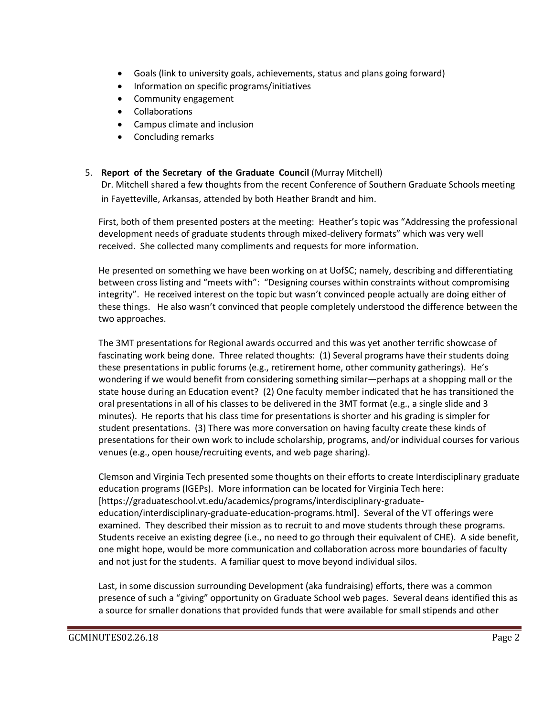- Goals (link to university goals, achievements, status and plans going forward)
- Information on specific programs/initiatives
- Community engagement
- Collaborations
- Campus climate and inclusion
- Concluding remarks

### 5. **Report of the Secretary of the Graduate Council** (Murray Mitchell)

Dr. Mitchell shared a few thoughts from the recent Conference of Southern Graduate Schools meeting in Fayetteville, Arkansas, attended by both Heather Brandt and him.

First, both of them presented posters at the meeting: Heather's topic was "Addressing the professional development needs of graduate students through mixed-delivery formats" which was very well received. She collected many compliments and requests for more information.

He presented on something we have been working on at UofSC; namely, describing and differentiating between cross listing and "meets with": "Designing courses within constraints without compromising integrity". He received interest on the topic but wasn't convinced people actually are doing either of these things. He also wasn't convinced that people completely understood the difference between the two approaches.

The 3MT presentations for Regional awards occurred and this was yet another terrific showcase of fascinating work being done. Three related thoughts: (1) Several programs have their students doing these presentations in public forums (e.g., retirement home, other community gatherings). He's wondering if we would benefit from considering something similar—perhaps at a shopping mall or the state house during an Education event? (2) One faculty member indicated that he has transitioned the oral presentations in all of his classes to be delivered in the 3MT format (e.g., a single slide and 3 minutes). He reports that his class time for presentations is shorter and his grading is simpler for student presentations. (3) There was more conversation on having faculty create these kinds of presentations for their own work to include scholarship, programs, and/or individual courses for various venues (e.g., open house/recruiting events, and web page sharing).

Clemson and Virginia Tech presented some thoughts on their efforts to create Interdisciplinary graduate education programs (IGEPs). More information can be located for Virginia Tech here: [https://graduateschool.vt.edu/academics/programs/interdisciplinary-graduateeducation/interdisciplinary-graduate-education-programs.html]. Several of the VT offerings were examined. They described their mission as to recruit to and move students through these programs. Students receive an existing degree (i.e., no need to go through their equivalent of CHE). A side benefit, one might hope, would be more communication and collaboration across more boundaries of faculty and not just for the students. A familiar quest to move beyond individual silos.

Last, in some discussion surrounding Development (aka fundraising) efforts, there was a common presence of such a "giving" opportunity on Graduate School web pages. Several deans identified this as a source for smaller donations that provided funds that were available for small stipends and other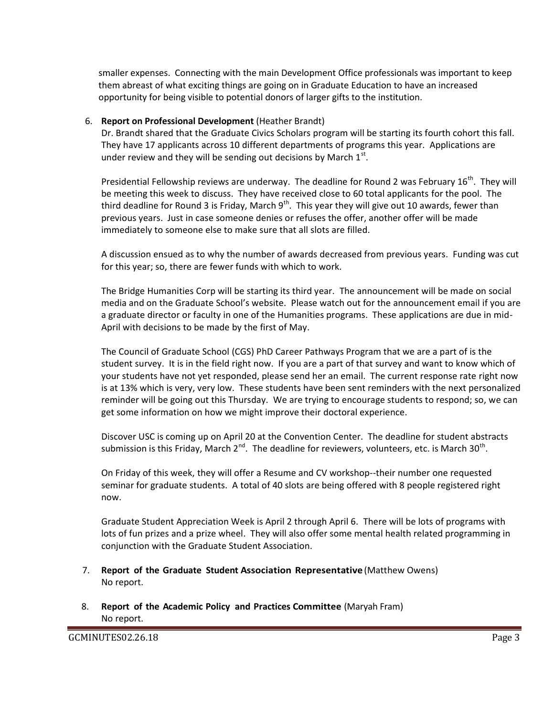smaller expenses. Connecting with the main Development Office professionals was important to keep them abreast of what exciting things are going on in Graduate Education to have an increased opportunity for being visible to potential donors of larger gifts to the institution.

#### 6. **Report on Professional Development** (Heather Brandt)

Dr. Brandt shared that the Graduate Civics Scholars program will be starting its fourth cohort this fall. They have 17 applicants across 10 different departments of programs this year. Applications are under review and they will be sending out decisions by March  $1<sup>st</sup>$ .

Presidential Fellowship reviews are underway. The deadline for Round 2 was February 16<sup>th</sup>. They will be meeting this week to discuss. They have received close to 60 total applicants for the pool. The third deadline for Round 3 is Friday, March  $9^{th}$ . This year they will give out 10 awards, fewer than previous years. Just in case someone denies or refuses the offer, another offer will be made immediately to someone else to make sure that all slots are filled.

A discussion ensued as to why the number of awards decreased from previous years. Funding was cut for this year; so, there are fewer funds with which to work.

The Bridge Humanities Corp will be starting its third year. The announcement will be made on social media and on the Graduate School's website. Please watch out for the announcement email if you are a graduate director or faculty in one of the Humanities programs. These applications are due in mid-April with decisions to be made by the first of May.

The Council of Graduate School (CGS) PhD Career Pathways Program that we are a part of is the student survey. It is in the field right now. If you are a part of that survey and want to know which of your students have not yet responded, please send her an email. The current response rate right now is at 13% which is very, very low. These students have been sent reminders with the next personalized reminder will be going out this Thursday. We are trying to encourage students to respond; so, we can get some information on how we might improve their doctoral experience.

Discover USC is coming up on April 20 at the Convention Center. The deadline for student abstracts submission is this Friday, March 2<sup>nd</sup>. The deadline for reviewers, volunteers, etc. is March 30<sup>th</sup>.

On Friday of this week, they will offer a Resume and CV workshop--their number one requested seminar for graduate students. A total of 40 slots are being offered with 8 people registered right now.

Graduate Student Appreciation Week is April 2 through April 6. There will be lots of programs with lots of fun prizes and a prize wheel. They will also offer some mental health related programming in conjunction with the Graduate Student Association.

- 7. **Report of the Graduate Student Association Representative** (Matthew Owens) No report.
- 8. **Report of the Academic Policy and Practices Committee** (Maryah Fram) No report.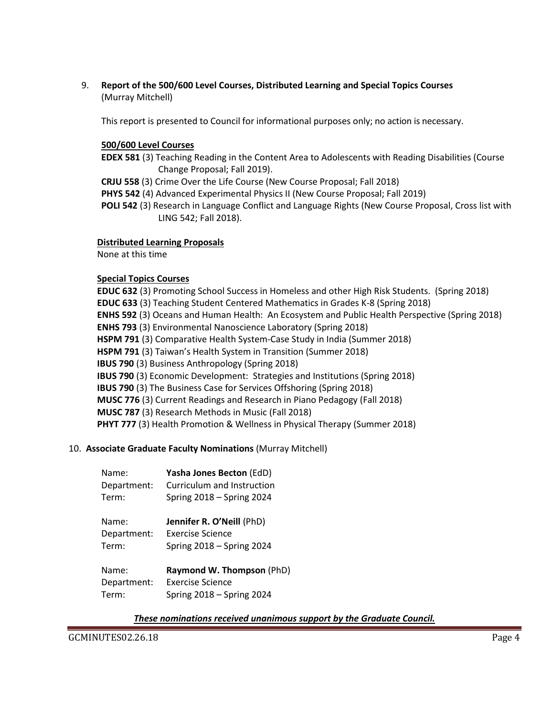9. **Report of the 500/600 Level Courses, Distributed Learning and Special Topics Courses** (Murray Mitchell)

This report is presented to Council for informational purposes only; no action is necessary.

### **500/600 Level Courses**

- **EDEX 581** (3) Teaching Reading in the Content Area to Adolescents with Reading Disabilities (Course Change Proposal; Fall 2019).
- **CRJU 558** (3) Crime Over the Life Course (New Course Proposal; Fall 2018)
- **PHYS 542** (4) Advanced Experimental Physics II (New Course Proposal; Fall 2019)
- **POLI 542** (3) Research in Language Conflict and Language Rights (New Course Proposal, Cross list with LING 542; Fall 2018).

### **Distributed Learning Proposals**

None at this time

### **Special Topics Courses**

**EDUC 632** (3) Promoting School Success in Homeless and other High Risk Students. (Spring 2018) **EDUC 633** (3) Teaching Student Centered Mathematics in Grades K-8 (Spring 2018) **ENHS 592** (3) Oceans and Human Health: An Ecosystem and Public Health Perspective (Spring 2018) **ENHS 793** (3) Environmental Nanoscience Laboratory (Spring 2018) **HSPM 791** (3) Comparative Health System-Case Study in India (Summer 2018) **HSPM 791** (3) Taiwan's Health System in Transition (Summer 2018) **IBUS 790** (3) Business Anthropology (Spring 2018) **IBUS 790** (3) Economic Development: Strategies and Institutions (Spring 2018) **IBUS 790** (3) The Business Case for Services Offshoring (Spring 2018) **MUSC 776** (3) Current Readings and Research in Piano Pedagogy (Fall 2018) **MUSC 787** (3) Research Methods in Music (Fall 2018) **PHYT 777** (3) Health Promotion & Wellness in Physical Therapy (Summer 2018)

#### 10. **Associate Graduate Faculty Nominations** (Murray Mitchell)

| Name:       | Yasha Jones Becton (EdD)    |
|-------------|-----------------------------|
| Department: | Curriculum and Instruction  |
| Term:       | Spring 2018 - Spring 2024   |
| Name:       | Jennifer R. O'Neill (PhD)   |
| Department: | Exercise Science            |
| Term:       | Spring $2018 -$ Spring 2024 |
| Name:       | Raymond W. Thompson (PhD)   |
| Department: | <b>Exercise Science</b>     |
| Term:       | Spring 2018 - Spring 2024   |

#### *These nominations received unanimous support by the Graduate Council.*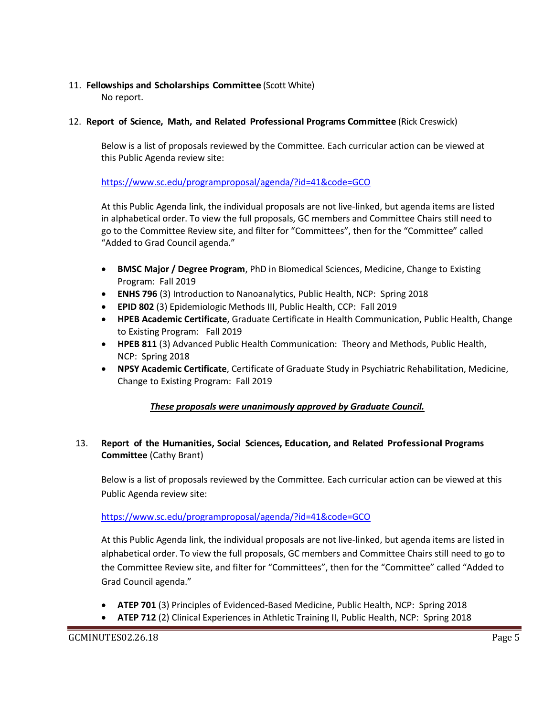## 11. **Fellowships and Scholarships Committee** (Scott White)

No report.

### 12. **Report of Science, Math, and Related Professional Programs Committee** (Rick Creswick)

Below is a list of proposals reviewed by the Committee. Each curricular action can be viewed at this Public Agenda review site:

### <https://www.sc.edu/programproposal/agenda/?id=41&code=GCO>

At this Public Agenda link, the individual proposals are not live-linked, but agenda items are listed in alphabetical order. To view the full proposals, GC members and Committee Chairs still need to go to the Committee Review site, and filter for "Committees", then for the "Committee" called "Added to Grad Council agenda."

- **BMSC Major / Degree Program**, PhD in Biomedical Sciences, Medicine, Change to Existing Program: Fall 2019
- **ENHS 796** (3) Introduction to Nanoanalytics, Public Health, NCP: Spring 2018
- **EPID 802** (3) Epidemiologic Methods III, Public Health, CCP: Fall 2019
- **HPEB Academic Certificate**, Graduate Certificate in Health Communication, Public Health, Change to Existing Program: Fall 2019
- **HPEB 811** (3) Advanced Public Health Communication: Theory and Methods, Public Health, NCP: Spring 2018
- **NPSY Academic Certificate**, Certificate of Graduate Study in Psychiatric Rehabilitation, Medicine, Change to Existing Program: Fall 2019

### *These proposals were unanimously approved by Graduate Council.*

### 13. **Report of the Humanities, Social Sciences, Education, and Related Professional Programs Committee** (Cathy Brant)

Below is a list of proposals reviewed by the Committee. Each curricular action can be viewed at this Public Agenda review site:

<https://www.sc.edu/programproposal/agenda/?id=41&code=GCO>

At this Public Agenda link, the individual proposals are not live-linked, but agenda items are listed in alphabetical order. To view the full proposals, GC members and Committee Chairs still need to go to the Committee Review site, and filter for "Committees", then for the "Committee" called "Added to Grad Council agenda."

- **ATEP 701** (3) Principles of Evidenced-Based Medicine, Public Health, NCP: Spring 2018
- **ATEP 712** (2) Clinical Experiences in Athletic Training II, Public Health, NCP: Spring 2018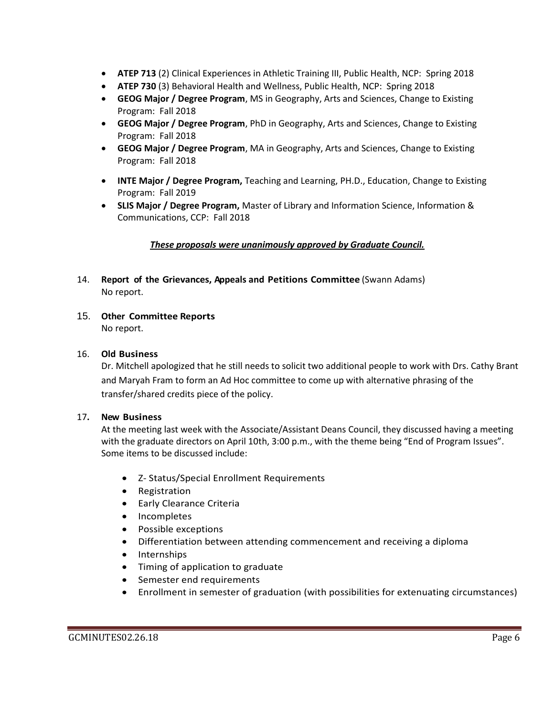- **ATEP 713** (2) Clinical Experiences in Athletic Training III, Public Health, NCP: Spring 2018
- **ATEP 730** (3) Behavioral Health and Wellness, Public Health, NCP: Spring 2018
- **GEOG Major / Degree Program**, MS in Geography, Arts and Sciences, Change to Existing Program: Fall 2018
- **GEOG Major / Degree Program**, PhD in Geography, Arts and Sciences, Change to Existing Program: Fall 2018
- **GEOG Major / Degree Program**, MA in Geography, Arts and Sciences, Change to Existing Program: Fall 2018
- **INTE Major / Degree Program,** Teaching and Learning, PH.D., Education, Change to Existing Program: Fall 2019
- **SLIS Major / Degree Program,** Master of Library and Information Science, Information & Communications, CCP: Fall 2018

### *These proposals were unanimously approved by Graduate Council.*

- 14. **Report of the Grievances, Appeals and Petitions Committee** (Swann Adams) No report.
- 15. **Other Committee Reports** No report.

### 16. **Old Business**

Dr. Mitchell apologized that he still needs to solicit two additional people to work with Drs. Cathy Brant and Maryah Fram to form an Ad Hoc committee to come up with alternative phrasing of the transfer/shared credits piece of the policy.

#### 17**. New Business**

At the meeting last week with the Associate/Assistant Deans Council, they discussed having a meeting with the graduate directors on April 10th, 3:00 p.m., with the theme being "End of Program Issues". Some items to be discussed include:

- Z- Status/Special Enrollment Requirements
- Registration
- Early Clearance Criteria
- Incompletes
- Possible exceptions
- Differentiation between attending commencement and receiving a diploma
- Internships
- Timing of application to graduate
- Semester end requirements
- Enrollment in semester of graduation (with possibilities for extenuating circumstances)